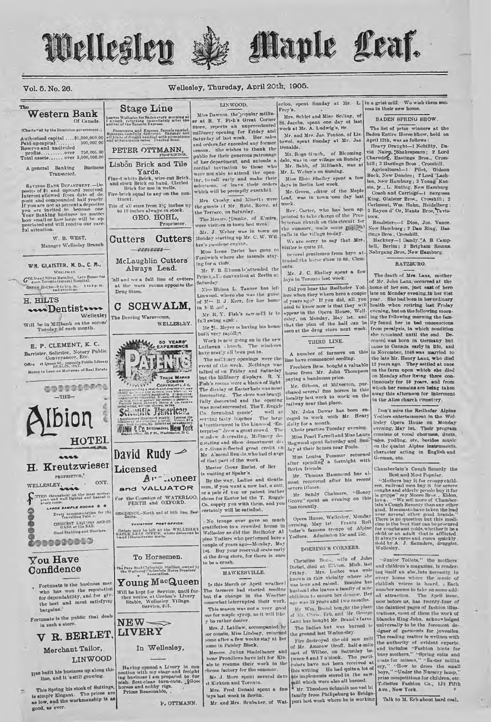

reports an unprecedented

public for their generous putronage<br>of her department, and extends a

cordial invitation to those when

were not able to attend the open-

ing, to call early and make their

selections, or leave their orde<br>which will be promptly executed.

Mrs. Crosby and Minetti were<br>the guests of Mr. Robt, Rowe, at<br>the Terrace, on Saturday.

Miss Irene Perlet has gone to

Mr. F. B. Elmun le'attended the

Miss Bhima L. Tanner has left

Mr. R. Y. Fish's saw-mill is in

Mr S. Meyer is having his hous

Work is new going on in the new

The millinery openings were the

event of the week. Nothings was<br>talked of on Friday and Saturday

but the Millinery displays. R. Y.<br>Fish's rooms were a blazes of light.

The display of Easter hats was most

tor cousin, Miss Lindony, returned

Messrs. Julius Stadelbauer and

benr Proudlove have left for Kin ale to resume their work in the

Mr. J. More spont several days

Mrs. Fred Donald spont a fow

theose factory for the summ

tays last wook in Berlin.

tome in Paisley Block.

The windows

Lutheran church. The whave nearly all been put in.

R J. Kerr, for her hom

Principal's convention at Berlin or

Linwood, where she was the gues

Fordwich where she intends stay

ing for a time.

**Saturday** 

of Mrs.

in M 11 and

full swing agai..

built very rapidly.

or leave their orders

## Vol. 5. No. 26.

Transacted.

W. B. WEST,

WM. GLAISTER, M. D., C. M.,

WELLEMAN

GOLD and Silver Metallst. Late House Sur

 $\textbf{OPT}(\mathbf{t}, \mathbf{t}|\theta) = \begin{cases} \text{if } \theta \in \mathbb{R}^n, \text{min} \\ \text{and } \theta \in \text{min}(\mathbf{t}|\theta). \end{cases} \quad \text{for } \theta \in \mathbb{R}^n.$ 

www.Dentisters

E. P. CLEMENT, K. C.

 $-THE$ 

 $\overline{a}$ 

PROPRIETOR,"

WELLESLEY.

\*\*\*\*\*\*\*\*\*\*

**You Have** 

Confidence

bargains.

good, as ever.

in such a store

V R. BERLET.

Merchant Tailor,

Has built his business up along this line, and it 's still growing.

This Spring his stock of Suitings,

is simply Elegant. The prices are

LINWOOD

The prices a

Will be in Millbank on the second Tuesday of each month.

Wellesley

Manager Wellesley Branch

A general Banking

precinted and

H. HILTS

The

Wellesley

### LINWOOD.

**Western Bank** Leaves Wallaby for Baden every morning at<br>I o'clock, returning immediately after the<br>arrival of the Toronto Express. Of Canada Passengers and Express Parcels ray<br>Meanges carefully daily-vrel. Bargage<br>all hinds of freight bandied with promp<br>and at reasonable rates. Draying done (Charte\*ed by the Dominion government. 

## PETER OTTMANN,

**Stage Line** 

Lisbon Brick and Tile Business Yards. 

I arus.<br>
Fine-t white Brick, wire-cut Brick<br>
and stock Brick on hand. Circled<br>
Brick for use in wells.<br>
Fire-brick equal to any on the continent

Tile of all sizes from  $\frac{2}{4}$  inches up to 10 inches slwavs in stock. GEO. HOHL. Proprietor

The Mesors. Dunke, of E'mira. Mr. J. Weber was in town Monday starting up Mr. C. W. Wil-Cutters Cutters ker's gasolene engine.

esercess. McLaughlin Cutters Always Lead.

hill and see a full line of cotters at the ware rooms opposite the Drug Store.

### SCHWALM. C The Deering Warerooms,

WELLESLEY.

MAAM 50 YEARS' Barrister, Solidary Public<br>Conveyancer, Etc.<br>Office al Quaepitte, appoints Public Library<br>Money to Loan on Mortgare of Real Estate **WELF** TRADE MARKS Co. 0000300000 **T Palet** 



Having opened a Livery in concelence and freight in get and freight in<br>ing business I am prepared to furnish. first-class turn-outs.<br>Like the presence and nobby riga.

P. OTTMANN.

Frev's Miss Dawson, the popular milliner at R. Y. Fish's Great Corner

Mrs. Schlet and Miss Beiling, St. Jacobs, spent one day of last week at Mr. A. Ludwig's, Br. millinery opening for Friday and Saturday of last week. Her sales Mr. and Mrs. Jas. Fonton, of Listowel, spent Sunday at Mr. Jas Donalds. enturing or last week. He save

Maple Leaf.

Mr. Roge Grach. of Blooming Mr. Roge General, or Bicoming-<br>dalo, was in our village on Sunday.<br>Mr. Babb, of Millbank, was at<br>Mr. L. Weber's on Sundag.

Miss Elsio Shelley spent a few days in Berlin last week

Mr. Green, editor of the Maple was in town one day last Leaf. week.

Rev., Carter, who has been ap-<br>pointed to take charge of the Pres-<br>byterian church on this circuit for the summer, made some mistoral to say that Mrs. We are sorry

Sittler is quite ill. Several gentlemen from here at-

tended the horse show in St. Clem $n!$ 

Mr. J. C. Shelley spent a few days in Toronto last week.

Did you hear the Reilhofer You-Did you hear the Reilhofer You-<br>lers when they where here a couple<br>of years ago? If you did, all you<br>need to know now is that they will<br>appear in the Opera House, Wellesley, on Monday, May 1st, and<br>that the plan of the hall can be<br>seen at the drag store next week.

## THIRD LINE.

A number of farmers on this line have commenced seeding.

Freeborn Bros. bought a valuable<br>horse from Mr. John Thompson<br>paying a handsome price.

Mr. Gib-on, of Milvorton, purchased soveral fine horses in this locality last week to work on the railway near that place.

Mr. John Dewar has been aged to work with Mr. Henry Kelly for a month.

Choir practise Tuesday ovening. Miss Poarl Farrell and Miss Laura Magwood spent Saturday and Sun day at their homes near Poole.

Miss Louisa Pommer returned Berlin friends.

Mr. Thomas Hammond has almost recovered after his recent evero illness.

Mr. Sandy Chalmers, "Honey Grove" spent an evening on this line recently

Opera Honso, Wellesley, Monday<br>wening, May 1st. Frantz Rell<br>'10fer's famons troupe of Alpine<br>Yodlers. Admission 25c and 35c.

## DOERING'S CORNERS.

Christina Back, wife of John<br>Diebel, died at Elkton. Mich. last<br>Frilay. Mrs. Loobot was welk<br>known in this vicinity where she<br>was bern and raised. Besides here was born and raised. Besides he oblidren to mourn her denise. Her uge was 39 years and two months. Mr Wm. Brand bought the place are with brand bought the place<br>of Mr. Chris, Erb, and Mr. George<br>Lanz has bought Mr. Brand's farm burned to The Indian hut was

the ground last Wedne day. He ground ast we<br>the old saw mill Fire deterored the old saw mill of Mickee, on Batteria<br>past of Wilbee, on Batteria between tween<br>there and 7 o'clock. The partition is there is and 7 o'clock. The partition<br>clust his writi his within the main quies for of his implements stored in the saw-<br>hill which were also all burned.

are least wook in Berlin.<br>Mr. and Mrs. Brubaker, of Wat. port last wook where he is working

erloo, spent Sunday at Mr. L in a grist mill. We wish them sucs in their new home.

BADEN SPRING SHOW.

The list of prize winners at the Baden Entire Horse Show, held on April 12th, was as follows

Heavy Draght-1 Nobility, David Nairp, Shakespeare; 2 Lord<br>Charming, Hastings Bros., Cross-

Charming, Hastings Bros., Cross-<br>hill; 3 Hastings Bros., Cross-<br>Agricultural-1 Pilot, Gideon<br>Buck, New Dundee; 2 Lord Lach-<br>lan, New Hamburg; 3 Young Konzie, jr., L. Ruthig. New Hamburg.<br>Coach and Carriage-1 Sargossa King, Glaister Bros., Crosshill; 2<br>Carlmont, Wm. Hahn, Heidelberg; 3 Rayon d' Or, Mantz Bros. Tayla-

Roadster-1 Dico, Jos. Vance. New Hamburg ; 2 Dan Ring, Has

Hackney-1 Dandy, "A B Camp-<br>bell, Berlin; 2 Brigham Romus. Nahrgang Bros, New Hamburg.

### RATZBURG.

The death of Mrs. Lanz, mother of Mr. John Lanz, occurred at the home of her son, just east of here late on Monday evening.in her Stat bealth when rotiring last Friday ovening, but on the following morning the following morning the family fonnd her in bed unconscious from peralysis, in which condition she remained until the end. Decame to Oanada early in life, and in November, 1846 was married to the late Mr. Henry Lanz, who died<br>12 years ago. They settled at once on the farm upon which she died on Monday after living there continuously for 59 years, and from<br>which her remains are being taken away this afternoon for interment in the Alles church cometery

Don't miss the Reilhofer Alpine Yedlers entertainment in the Wellesley Opera House on Monday evening, May 1st. Their program consists of vood chorness, ducts, colors of vocal cluster, there, German, etc.

Chamberlain's Cough Remedy the Best and Most Popular.

Best and Most Popnlar.<br>
"Mothers by it for comprehild-<br>
"Mothers by it for severe conglas and otherly people buy it for<br>
severe conglas and other people buy it for severe is a grippe "say Moore Bross.. Eldon,<br>
10.wa. . We Wellesley.

"Junior Toilots." the mothers and children's magazine, is rendering itself an absolute necessity, in ing useft an absortute necessary, in number seems to take on so e ndd ed attraction. The April issue, now before us, has twenty-four of the daintiest pages of fashion illustrations, most of them the work of<br>Blanche King John, acknowledged universally to be the foremost designer of garments for juveniles.<br>The reading matter is written with The reading matter is written with<br>the authority of evident experts.<br>and includes "Fashion hints for<br>basy mothers," "Spring suits and<br>cata for misson," "Easter millin<br>berg," "How to dress the small berg," "How to dress the prize competitions for children, etc. Toilettes Fashion Co., 1J2 Fifth

Talk to M. Erb about hard coal,



## In Wellesley,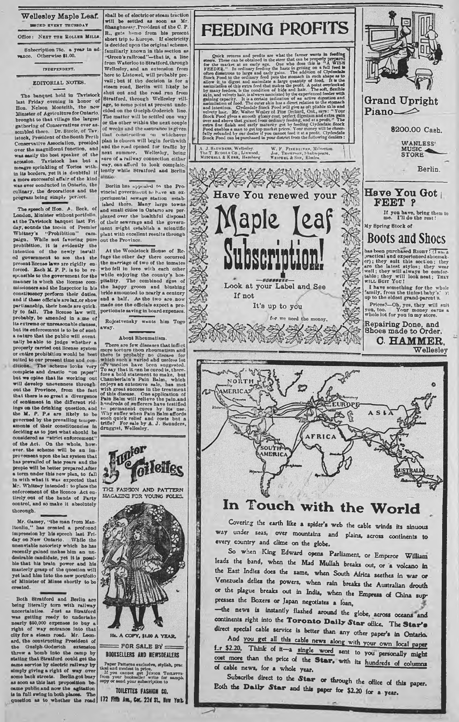## Wellesley Maple Leaf. WUURD EVERY THURSDAY Office: NEXT THE ROLLER MILLS. Subscription 75c. a year in ad-vance. Otherwise \$1.00.

### IRDEPE5DEXT.

## EDITORIAL NOTES.

The banquet held in Tavistock last Friday evening in honor of Hon. Nelson Monteith, the new Minister of Agriculture for Ontario, brought to that village the largest gathering of Conservatives ever mbled thero. Dr. Steele, of Tav. istock, President of the South Perth Conservative Association, presided over the xnagnifiorat function, and waa easily the best speaker of the accasion. Tavistock has but a<br>meagre sprinkling of Tories within its borders, yet it is doubtful if  $\frac{1}{2}$  and  $\frac{1}{2}$  , and  $\frac{1}{2}$  , and  $\frac{1}{2}$  , and  $\frac{1}{2}$  , and  $\frac{1}{2}$  , and  $\frac{1}{2}$  , and  $\frac{1}{2}$  , and  $\frac{1}{2}$  , and  $\frac{1}{2}$  , and  $\frac{1}{2}$  , and  $\frac{1}{2}$ was evor conducted in Ontario, the culinary, the decoratiors and the program being simply perfect.

The speech of Hon. A. Beck, of London, Minister without portfolio, at the Tavistock banquet last Friday, sounds the tocsin of Premier Whitney's "Prohibition" cam-<br>paign. While not favoring pure prohibition, it is evidently the<br>intention of the newly install-<br>ed government to see that the present license laws are rigidly en-<br>forced. Each M. P. P. is to bo re-sponsible to the government for the<br>manner in which the license commissioners and the Inspector in his constituency perform their duties, and if theae officials aro lax,or show partisanship, their heads are quick-<br>ly to fall. The liceose law will,<br>probably, be amended in some of its extreme or unreasonable clauses, but its enforcement is to be of such a nature that the public will event ually bo able to jndge whether a properly carriod out license system or entire prohibition would bo beet suited to oar present time and con-ditions. The scheme looks very complete and drastic "on paper" bat we opine that ite working ont will devolop unevenness throughout the Province, from the fact that there is so great a divergence of sentimont in the different ridings on the drinking question, and the M. P. P.s are likely to be the M. P. P.s are likely to be<br>governed by the prevailing temper-<br>amonts of their constitution is deciding an to just what should be<br>considered as "strict enforcement"<br>of the Act. On the whole, how-<br>ever. the solome will b has prevailed of late years and the peoplo will be better prepared .after a term under this new plan, to fall in with what it wan expected that Mr. Whitnvy intended : to place tho enforcement of tho liconco Act entirely out of tho bands of Party control, and so make it absolutely thorough.

Mr. Gamey, "the man from Man-<br>itonlin," has created a profound<br>impression by his speech last Fri-<br>day on New Ontario. While the<br>uneartiable notoriety which ho has<br>rocently gained makes him an undesirable candidate, yet it is possible that his brain power and his masterly grasp of the qncstion will yet land him Into tho new portfolio of Minister of Mines shortly to bo created.

Both Stratford and Berlin are<br>being literally torn with railway<br>moortainties. Just as Stratford<br>mearly \$50,000 or<br>presely to undertake paraly to the right of way entrance into that<br>right of way entrance into that<br>ard, the tho Guclpb-Goderich extension threw a bomb into the camp by stating that Stratford oonld get the same service by electric railway by simply giving a right of way over some baok streets. Berlin got busy<br>as soon as this last proposition be-<br>came public and now the agitation<br>is in fnll swing in both places. The question as to whether the road

R., gets homo from his present abort trip to Lurojie. If electricity is decided upon tho original scheme, familiarly known in this section as •Green's railroad"—that is, a line from Waterloo to Stratford,through Wellesley, and an extension from hero to Listowel, will probably pre-vail ; but if tho decision is for steam road, Berlin will likely bej shut out and tho road run from 8tratford, through Wellesloy village, to some point at present unde-cided on tho Guelph-Goderich line. The matter will be settled one way or the other within the next couple of weeks and the assurance is given that construction on whichever plan is chosen will begin forthwith and the road opened for traffic by |<br>
next summer. Wellesloy, being<br> **sure of a railway connection either** way, can afford to look complaiclently while Stratford and Berlin

shall be of electric or steam traction will bo sottled as soon as Mr. 8hanghnes\r.President of tho C. P.

Borlin has appealed to the Provincial government to have an ox-Iperimontal sewage station estabished there. Many lurgo towns and small cities in Ontario uro perplexed over the healthful disp of their sewerage and the governm ent might establish a scientific plant w ith excellent resalts through out the Province.

At the Woodstock House of Refuge the other day there occurred the marriago of two of tho inmates who fell in love with each other while enjoying the county's hospitality. The combinod ages of the happy groom and blushing bride amounted to nearly a century and a half. As tho two aro now mado one the officials expect a proportionate saving in board expenses.

Rojcstvensky wants him Togo away.

Ð

About Rheomatian.<br>There are fow disseases that inflict<br>more torture thon rheomatian and<br>there is probably no dissease for<br>which same which a varied and unders of<br>To asy that it can be coro suggested.<br>To asy that it can be enjoys an extensure sale, has met<br>with great success in the treatment<br>of this disease. One application of<br>Pain Balm will relieve the pain and<br>handreds of sufferers have testified<br>to permanent curves by the use.<br>Why coffer







Cusick returns and proble are what the farmer wants in recent<br>graphs. These can be obtained in the steer that can be properly present<br>of for the market at an early see, One who does this is "A WISS (Fig.<br>DEEDER." In ordin

**Grand Upright** Piano— $\gg$ 

**FEET ?** 

\$200.00 Cash.

WANLESS'<br>MUSIC<br>STORE

If you have, bring them to me. I'll do the rest!

**0. HAMMER,**

**Wellesley** 

Berlin.

A. J. Sauxnum, Wellesley.<br>The T Ruootu Co , Linwood.<br>Mi**rcusit & Kuun, Hambarg** W. F. Fiszantinke, Milverton.<br>Jos. Twwitwin, Shako-pearo.<br>Weicunt & Son, Elmira.





# **In Touch with the World**

**Covering the earth like a spider'\* web the cable w inds its sinuous** way under seas, over mountains and plains, across continents to **every country and clime on the globe.**

So when King Edward opens Parliament, or Emperor William **leads the band, w hen the Mad M ullah breaks out, or a volcano in** the East Indies does the same, when South Africa seethes in war or Venezuela defies the powers, when rain breaks the Australian drouth **or the plague breaks out in India, w hen the Empress of China sup\* presses the Boxers or Japan negotiates a loan,** *;*

-the news is instantly flashed around the globe, across oceans and continents right into the Toronto Daily Star office. The Star's direct special cable service is better than any other paper's in Ontario.

And you get all this cable news along with your own local paper f\_r \$2.20. Think of it-a single word sent to you personally might cost more than the price of the Star, with its hundreds of columns of cable news, for a whole year.

Subscribe direct to the Star or through the office of this paper. Both the **Daily Star** and this paper for \$2.20 for a year.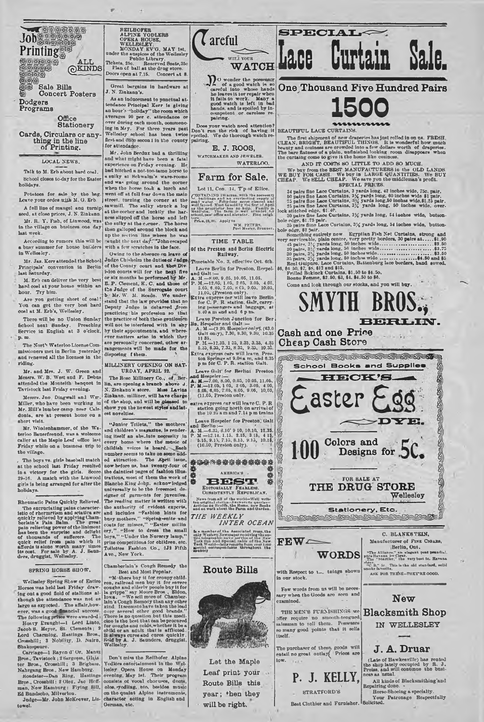$\overset{\text{ALL}}{\mathbb{Q}}$ kinds REIROFER<br>
OPERA OPERATOR<br>
OPERA BOUGE,<br>
WELLENLEY,<br>
MONDAV EVO, MAY 1st,<br>
MONDAV EVO, MAY 1st,<br>
David the asspices of the Wellesley<br>
Tickets, 25c,<br>
Reserved Seats, 35c<br>
Doors open at 7.15. Concert at 8.

> Groat bargains in hardwaro at J. N. Zinkann's.

As an indnoement to pnnctual attendance Principal Kerr is giving an hoar's -'holtdiay" tho room which averages 90 per c. attendance or over during each month, commenc-<br>ing in Mry. For three years past<br>Wellesley school has been twice first and dnge secon i in the county<br>for attendance.

Mr. R. Y. Fish, of Linwood, was  $\frac{1}{2}$  the sulky at the corner. The horse business one day then galloped around the block and Mr. John Berdnx had a thrilling and what might have been a fatal<br>experience on Friday evening. He experience on Friday evening. He had hitched a not-too-tamu horse to<br>a snlky at Schwalm's ware-rooms and was going around the corner<br>when tho horse took a larch and when tho main<br>went off at fall fear down tho main street, turning tho corner at the sawmill. Tho snlky struck a log at tho eorher and Inokily the harness slipped off the horse and left up the section line where he was<br>"sught the next day." "Johnescaped" with a few scratches in the face.<br>Owing to the absence on leave of

Owing to the absence on leave of Judge Chisholm the duties of the County<br>of the County court and the Div-<br>islon courts will for the next five<br>or six months be performed by Mr. E. P. Clement. K. C. and thoso of tho Judge of the Surrogate court b • Mr. W. M. Kcado. We understand that the law provides that no Deputy Judge Is dolarred ,from practicing bis profession so that tho practice of both these gentlomen will not be interfered with in ahy by their appointments, and where-ever matters arise in which they aro personally concerned, other arrangements will be mado for the disposing f them. even hatter arise in which they<br>are personally concerned, other ar-<br>  $\begin{array}{|l|l|}\n\hline\n\end{array}$  2.35, 6.35, 7.35, 8 35, 9.35, 10.35.<br>
disposing fiber.<br>
<br>
MILLINERY OPENING ON SAT-<br>  $\begin{array}{|l|l|}\n\hline\n\end{array}$  pn fdr C. P. R. stat

URDAY, APRIL 22.

The Rose Millinery Co., of Ber<br>lin, are opening a branch above J N. Zinkann's store. Miss Lavina Zinkann. milliner, will have charge of the shop, and will be pleased to extra express car will leave C. P. R.<br>show yon the newest styles and lat-, station going north on arrival of est novelties.

"Junior Toilets," the mothers' and children's magazine, is rendering itself an ab-Jute necessity in every home where the music of childish voices is heard. Each number seems to take on some added attraction. The April issue, now before us, has twenty-four of tho daintiest jmges of fashion illus-trations, most of them the work of Blanche King John. acknowledged<br>universally to be the foremost designer of garments for juresles.<br>The reading matter is written with<br>the authority of evident experts,<br>and includes "fashion hints for<br>basy mothers," "Spring-suits and<br>coats for misses," "Easter millin<br>boys," "How to dress Avo., New York.

## Chamberlain's Cough Remedy tho

Best and Most Popular.<br>"Het and Most Popular.<br>"Which are buy it for every child.<br>"Most and ciden's propic buy it for<br>couple and ciden's propic buy it for<br>La prippe" way Moore Broad, Eldon, Lindon.<br>Lind, It is couply Rounde

Don't miss the Reilhofer Alpine Yodlors entertainment in the Wollesley Opera House on Monday orconsists, May 1st. Their program consists of consistence character acting in English and character acting in English and German, etc.



 $SPECTAT \sim$ 

BEAUTIFUL LACE CURTAINS.

**One Thousand Five Hundred Pairs**

**1500**

The first shipment of new draperies has just rolled in on as. FREME, ULEAN, BRIGHT, BEAUTHFUL THINGS. It is wonderful how much beauty and conines are orowded into a few dollars worth of draperies.<br>The bare final continues

AND IT COSTS BO LITTLE TO ADD SO MUCH.<br>We buy from the BEST MANUFACTURERS in the OLD LANDS.<br>WE BUY FOR CASH. We buy in LARGE QUANTITIES. We BUY CHEAP. We KELL CHEAP. We save yon tho middleman's profit. SPECIAL PRICES.

34 pairs fluo Laco Cartains, 3 y ards long, 42 inches wide, 75c, pair.<br>50 pairs fluo Laco Cartains, 3 y yards long, 60 inches wide \$1 pair.<br>75 pairs fluo Laco Cartains, 3 y yards long, 60 inches wide, \$1,23 pair.<br>75 pairs

**Lace** 

/ O wonder the posses of a good watch is so careful into whose hands he leaves it tor repair when It fails to work. Many a good watch is left in had bands, and is spoiled by in-competent or careless re-pairing.

Does your watch need attention?<br>
Don't run the risk of having it<br>
spoiled. We do thorough watch repairing.

E. J. ROOS,

WATCHMAKER AND JEWELER **WATERLOO** 

## **Farm for Sale.**

## Lot 11, Con. 14, T'p of Ellice.

CONTAINING in access with the necessary buildings and an everlasting supply of water. Fifty-fone acres cleared and Price, H.W. Apply to

WM. PETERS.<br>Fo»t Master, Bruuner.

### TIME TABLE Of the **Preston** and Berlin **Electric**

Railway.<br>Timetable No. 3, effective Oct. 6th.

Timetable No. 3, effective Oct. 6th.<br>
Leave Berlin for Preston, Herpel.<br>
A. M. = 8.00, 9.05, 10.05, 11.03.<br>
A. M. = 8.03, 4.05, 5.00, 10.05, 4.05, 5.05, 4.05, 6.05, 7.05, 6.05, 7.05, 8.05, 6.05, 11.05, 11.05, 12.<br>
Extra ox

- 
- Leave Preston Janetion for Ber<br> **in**, Hes<sub>j</sub>eler and Galt —<br>
A. M.—(2 20, Hespeler only\*, (63.0<br>
Galt only), 7.30, 8.30, 9.30, 10.35

Leave Galt' for Berlini Preston<br>  $\overrightarrow{B_{\rm f}}$  and Hespeler.<br>
9. 1. M.—7.00, 8.00, 0.05, 10.05, 11.05,<br>
9. M. (105. 6.05, 7.05, 2.05, 3.05, 4.05,<br>
105. 8.05, 2.05, 2.05, 8.05, 10,03,<br>
11.05, Prestou unit.<br>
8.06, 8.05. 10,03

the newest styles and lat-<br>est. <br>the 10.25 a m and 7.14 p m trains

Leave Hospeler for Preston, Galt<br>
and Berlin:<br>
A. M.-0.33, 3.10' 9 10, 10.10, 11.33.<br>
P. M. -12.14. 1.13. 2.15, 3 15, 4 13,<br>
: 5.15, 9.15, 7.15, 8.15. 9.15, 10.14,<br>
10.50, Prestob only).

AMERICA'S . ^ S B E S T 藝 Editorially Fearless.<br>Consistently Republican.

News from all of the world—Well writ-<br>ten original stories—Answers-to queries—<br>Articles én Health, the Home, new Books<br>and on work about the Parm and Garden. *THE WEEKLY INTER OCEAN*

of the Associated r York Sun and Special cable of the New<br>York World—Jaily reports from over 2.00<br>apetial correspondante throughout the



Let the Maple Leaf print your Route Bills this year; \*hen they will be right.



seed, at close prices, J. N. Zinkann.<br>Mr. R. Y. Fuh. of Linwood, was lost week.

Printing<sup>®®</sup>

Job<sub>s</sub> and an

の<br>後の Sale Bills<br>係 Concert I

Dodgers Programs

enungi<br>Bibliy

holidays.

Concert Posters

**Office Stationery** 

Cards, Circulars or anything in the line of Printing. LOCAL NEWS. Tnlk to M. Erb about hard coal.

According to rumors this will be a busy summer for house builders in Wellesley.

Mr. Jas. Kerr attended the School Principals\* convention in Berlin last Saturday. M. Erb can deliver the very best

hard cool at your home within an hour. Try him.

Aro you getting short of coal! You can get the very best hard coal at M. Erb's, Wellosloy.

There will be no Union Sunday School noxt Sunday. Preaching Service in English at 3 o'clock, p . m .

The North Waterloo License Commissioners met in Berlin yesterday and renewed nil the licenses in the riding.

Mr. and Mrs. J. W. Green and Messrs. W. B. West and F. Debus attended the Monteith banquot in Tavistock last Friday evening.

Messrs. Jno Dingwall and Wm. Miller, who hnvo been working in Mr. Hill's lumber camp near Cale-donia. aro at present borne on a short visit.

Mr. Wiedenhammer, of the Waterloo Banerfround. was a welcome caller at the Mnplo Leaf office last Friday while on a business trip to tho villago.

The boys vs. girls baseball match at the school last Friday resulted in a victory for the girls. Scoro 29-16. A match with the Linwood girls is being arranged for after the holidays.

Rheumatic Pains Quickly Relieved.<br>
The accrociating pains character-<br>
istics of rhermrition and science quickly relieved by applying Cham-<br>
quickly relieved by applying Cham-<br>
beriain's Pain Belin: The green the linine<br>
pa

## SPRING HORSE SHOW.

Wollesley 8pring BLow of Entiro Horses was held last Friday drawing oat a good Gold of stallions although the attendance was not us largo as expected. Tho affair.however, was a good financial success.<br>The following prizes were awarded:

Hoavy Draught-1 Lord Linto,<br>Jacob 8. Meyer, 8t. Clements; 2<br>Lord Charming, Hastings Bros.,<br>Crosshill; 3 Nobility, D. Nairn,

Bhakcspouro. Carringe—1 Rayon d' Or. Mansz Pros.. Tavistock ; 2Sargo?\*a, ter Bros., Crossbill; 3 Brigham. Nahrgong Bros., New Hambnrg.

Roadster—Dan Ring, Hastings Bros., Crosshill: 2 01ox. Jao Hcffman, New Hamburg: Flying Sill,<br>Ed Bandscho, Milverton.<br>Judge—Mr. John McKeever, Lis-